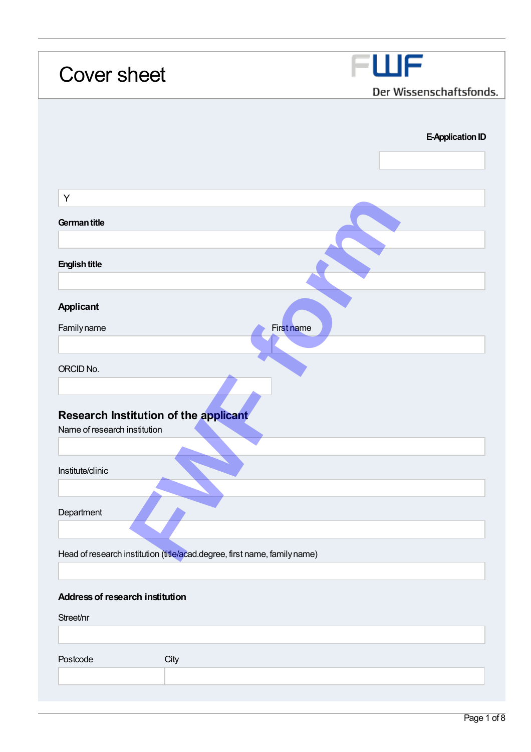| <b>Cover sheet</b>                                                        | FWF                     |
|---------------------------------------------------------------------------|-------------------------|
|                                                                           | Der Wissenschaftsfonds. |
|                                                                           |                         |
|                                                                           | <b>E-Application ID</b> |
|                                                                           |                         |
|                                                                           |                         |
| Υ                                                                         |                         |
| German title                                                              |                         |
|                                                                           |                         |
| <b>English title</b>                                                      |                         |
|                                                                           |                         |
| <b>Applicant</b>                                                          |                         |
| Familyname<br>First name                                                  |                         |
|                                                                           |                         |
| ORCID No.                                                                 |                         |
|                                                                           |                         |
| Research Institution of the applicant                                     |                         |
| Name of research institution                                              |                         |
|                                                                           |                         |
| Institute/clinic                                                          |                         |
|                                                                           |                         |
| Department                                                                |                         |
|                                                                           |                         |
| Head of research institution (title/acad.degree, first name, family name) |                         |
|                                                                           |                         |
|                                                                           |                         |
|                                                                           |                         |
| Address of research institution                                           |                         |
| Street/nr                                                                 |                         |
|                                                                           |                         |
| Postcode<br>City                                                          |                         |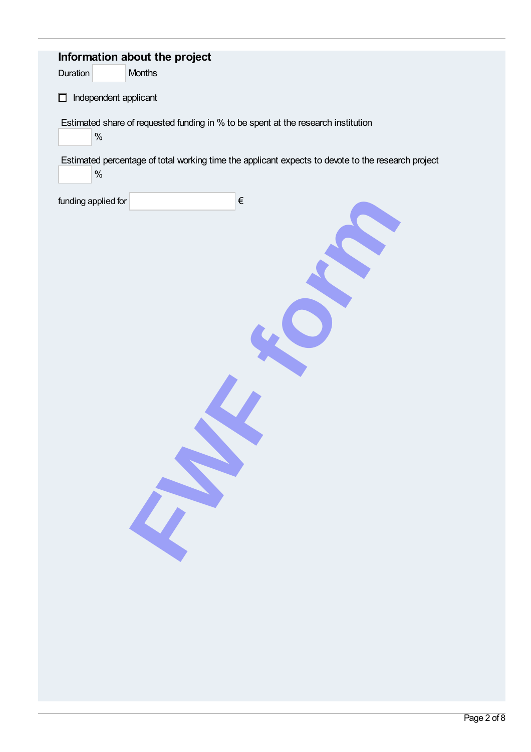| Information about the project<br>Months<br>Duration                                                        |
|------------------------------------------------------------------------------------------------------------|
| Independent applicant<br>口                                                                                 |
| Estimated share of requested funding in % to be spent at the research institution<br>$\%$                  |
| Estimated percentage of total working time the applicant expects to devote to the research project<br>$\%$ |
| $\in$<br>funding applied for                                                                               |
|                                                                                                            |
|                                                                                                            |
|                                                                                                            |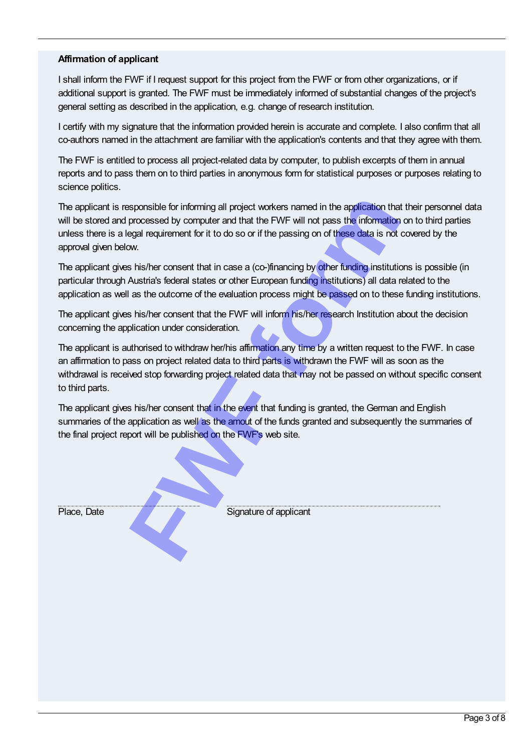## Affirmation of applicant

I shall inform the FWF if I request support for this project from the FWF or from other organizations, or if additional support is granted. The FWF must be immediately informed of substantial changes of the project's general setting as described in the application, e.g. change of research institution.

I certify with my signature that the information provided herein is accurate and complete. I also confirm that all co-authors named in the attachment are familiar with the application's contents and that they agree with them.

The FWF is entitled to process all project-related data by computer, to publish excerpts of them in annual reports and to pass them on to third parties in anonymous form for statistical purposes or purposes relating to science politics.

The applicant is responsible for informing all project workers named in the application that their personnel data will be stored and processed by computer and that the FWF will not pass the information on to third parties unless there is a legal requirement for it to do so or if the passing on of these data is not covered by the approval given below. **Franchise Sponsible for informing all project workers named in the application that processed by computer and that the FWF will not pass the information equal requirement for it to do so or if the passing on of these data** 

The applicant gives his/her consent that in case a (co-)financing by other funding institutions is possible (in particular through Austria's federal states or other European funding institutions) all data related to the application as well as the outcome of the evaluation process might be passed on to these funding institutions.

The applicant gives his/her consent that the FWF will inform his/her research Institution about the decision concerning the application under consideration.

The applicant is authorised to withdraw her/his affirmation any time by a written request to the FWF. In case an affirmation to pass on project related data to third parts is withdrawn the FWF will as soon as the withdrawal is received stop forwarding project related data that may not be passed on without specific consent to third parts.

The applicant gives his/her consent that in the event that funding is granted, the German and English summaries of the application as well as the amout of the funds granted and subsequently the summaries of the final project report will be published on the FWF's web site.

Place, Date Signature of applicant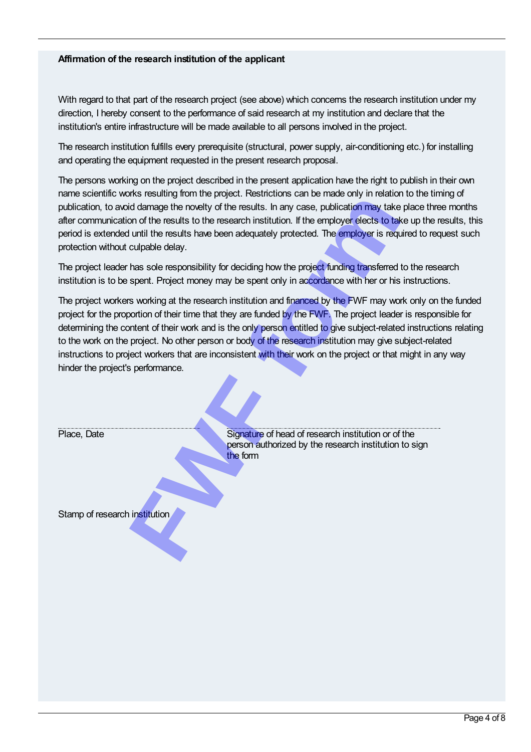## Affirmation of the research institution of the applicant

With regard to that part of the research project (see above) which concerns the research institution under my direction, I hereby consent to the performance of said research at my institution and declare that the institution's entire infrastructure will be made available to all persons involved in the project.

The research institution fulfills every prerequisite (structural, power supply, air-conditioning etc.) for installing and operating the equipment requested in the present research proposal.

The persons working on the project described in the present application have the right to publish in their own name scientific works resulting from the project. Restrictions can be made only in relation to the timing of publication, to avoid damage the novelty of the results. In any case, publication may take place three months after communication of the results to the research institution. If the employer elects to take up the results, this period is extended until the results have been adequately protected. The employer is required to request such protection without culpable delay.

The project workers working at the research institution and financed by the FWF may work only on the funded project for the proportion of their time that they are funded by the FWF. The project leader is responsible for determining the content of their work and is the only person entitled to give subject-related instructions relating to the work on the project. No other person or body of the research institution may give subject-related instructions to project workers that are inconsistent with their work on the project or that might in any way hinder the project's performance.

| protection without culpable delay. | publication, to avoid damage the novelty of the results. In any case, publication may take place three<br>after communication of the results to the research institution. If the employer elects to take up the rea<br>period is extended until the results have been adequately protected. The employer is required to requ                                                                                                                                                                                                                         |
|------------------------------------|------------------------------------------------------------------------------------------------------------------------------------------------------------------------------------------------------------------------------------------------------------------------------------------------------------------------------------------------------------------------------------------------------------------------------------------------------------------------------------------------------------------------------------------------------|
|                                    | The project leader has sole responsibility for deciding how the project funding transferred to the resea<br>institution is to be spent. Project money may be spent only in accordance with her or his instructions                                                                                                                                                                                                                                                                                                                                   |
| hinder the project's performance.  | The project workers working at the research institution and financed by the FWF may work only on the<br>project for the proportion of their time that they are funded by the FWF. The project leader is respons<br>determining the content of their work and is the only person entitled to give subject-related instruction<br>to the work on the project. No other person or body of the research institution may give subject-relate<br>instructions to project workers that are inconsistent with their work on the project or that might in any |
| Place, Date                        | Signature of head of research institution or of the<br>person authorized by the research institution to sign<br>the form                                                                                                                                                                                                                                                                                                                                                                                                                             |
| Stamp of research institution      |                                                                                                                                                                                                                                                                                                                                                                                                                                                                                                                                                      |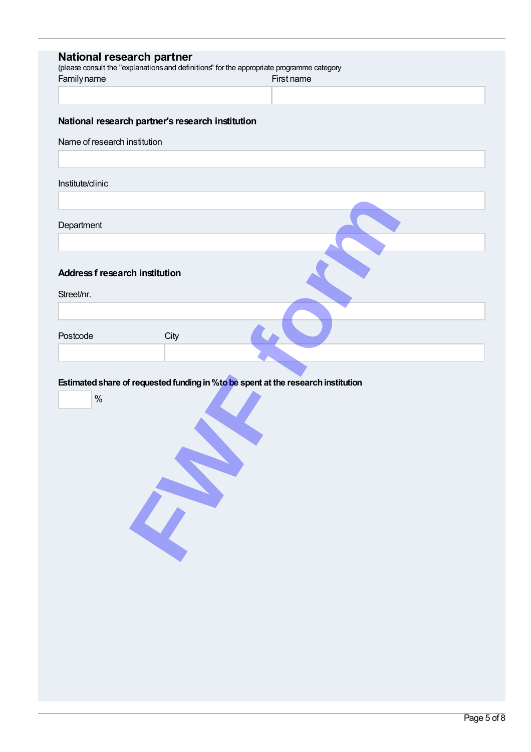| Familyname                            |                                                  | National research partner<br>(please consult the "explanations and definitions" for the appropriate programme category<br>First name |  |
|---------------------------------------|--------------------------------------------------|--------------------------------------------------------------------------------------------------------------------------------------|--|
|                                       | National research partner's research institution |                                                                                                                                      |  |
| Name of research institution          |                                                  |                                                                                                                                      |  |
| Institute/clinic                      |                                                  |                                                                                                                                      |  |
|                                       |                                                  |                                                                                                                                      |  |
| Department                            |                                                  |                                                                                                                                      |  |
| <b>Address f research institution</b> |                                                  |                                                                                                                                      |  |
| Street/nr.                            |                                                  |                                                                                                                                      |  |
| Postcode                              | City                                             |                                                                                                                                      |  |
|                                       |                                                  |                                                                                                                                      |  |
|                                       |                                                  | Estimated share of requested funding in % to be spent at the research institution                                                    |  |
| $\%$                                  |                                                  |                                                                                                                                      |  |
|                                       |                                                  |                                                                                                                                      |  |
|                                       |                                                  |                                                                                                                                      |  |
|                                       |                                                  |                                                                                                                                      |  |
|                                       |                                                  |                                                                                                                                      |  |
|                                       |                                                  |                                                                                                                                      |  |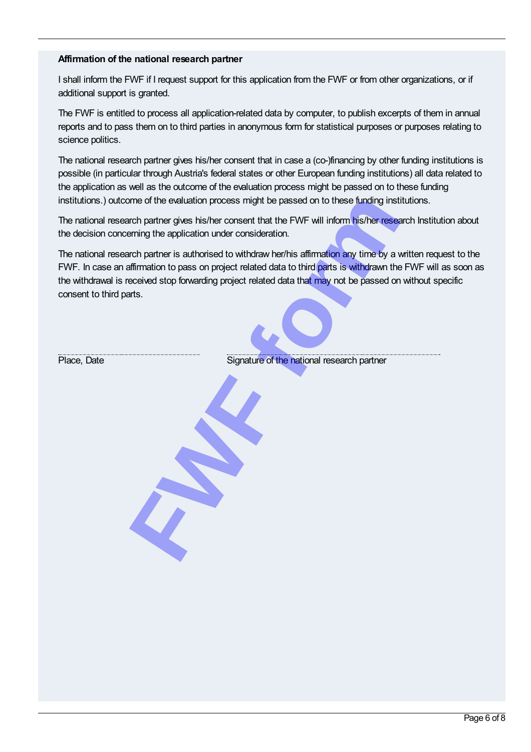## Affirmation of the national research partner

I shall inform the FWF if I request support for this application from the FWF or from other organizations, or if additional support is granted.

The FWF is entitled to process all application-related data by computer, to publish excerpts of them in annual reports and to pass them on to third parties in anonymous form for statistical purposes or purposes relating to science politics.

The national research partner gives his/her consent that in case a (co-)financing by other funding institutions is possible (in particular through Austria's federal states or other European funding institutions) all data related to the application as well as the outcome of the evaluation process might be passed on to these funding institutions.) outcome of the evaluation process might be passed on to these funding institutions.

The national research partner gives his/her consent that the FWF will inform his/her research Institution about the decision concerning the application under consideration.

The national research partner is authorised to withdraw her/his affirmation any time by a written request to the FWF. In case an affirmation to pass on project related data to third parts is withdrawn the FWF will as soon as the withdrawal is received stop forwarding project related data that may not be passed on without specific consent to third parts. ome of the evaluation process might be passed on to these funding institution partner gives his/her consent that the FWF will inform his/her researching the application under consideration.<br>
Fundamental and partner is auth

Place, Date **Signature of the national research partner**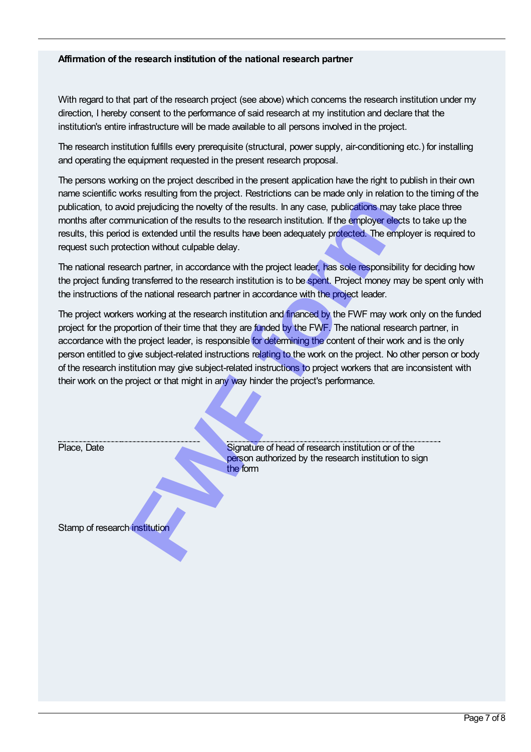## Affirmation of the research institution of the national research partner

With regard to that part of the research project (see above) which concerns the research institution under my direction, I hereby consent to the performance of said research at my institution and declare that the institution's entire infrastructure will be made available to all persons involved in the project.

The research institution fulfills every prerequisite (structural, power supply, air-conditioning etc.) for installing and operating the equipment requested in the present research proposal.

The persons working on the project described in the present application have the right to publish in their own name scientific works resulting from the project. Restrictions can be made only in relation to the timing of the publication, to avoid prejudicing the novelty of the results. In any case, publications may take place three months after communication of the results to the research institution. If the employer elects to take up the results, this period is extended until the results have been adequately protected. The employer is required to request such protection without culpable delay.

The national research partner, in accordance with the project leader, has sole responsibility for deciding how the project funding transferred to the research institution is to be spent. Project money may be spent only with the instructions of the national research partner in accordance with the project leader.

The project workers working at the research institution and financed by the FWF may work only on the funded project for the proportion of their time that they are funded by the FWF. The national research partner, in accordance with the project leader, is responsible for determining the content of their work and is the only person entitled to give subject-related instructions relating to the work on the project. No other person or body of the research institution may give subject-related instructions to project workers that are inconsistent with their work on the project or that might in any way hinder the project's performance. Friendal of the research institution of the search institution and the form<br> **FRICAL CONDUCTS** and the results in any case, publications may truntication of the results to the research institution. If the employer election

Place, Date Signature of head of research institution or of the person authorized by the research institution to sign the form

Stamp of research institution